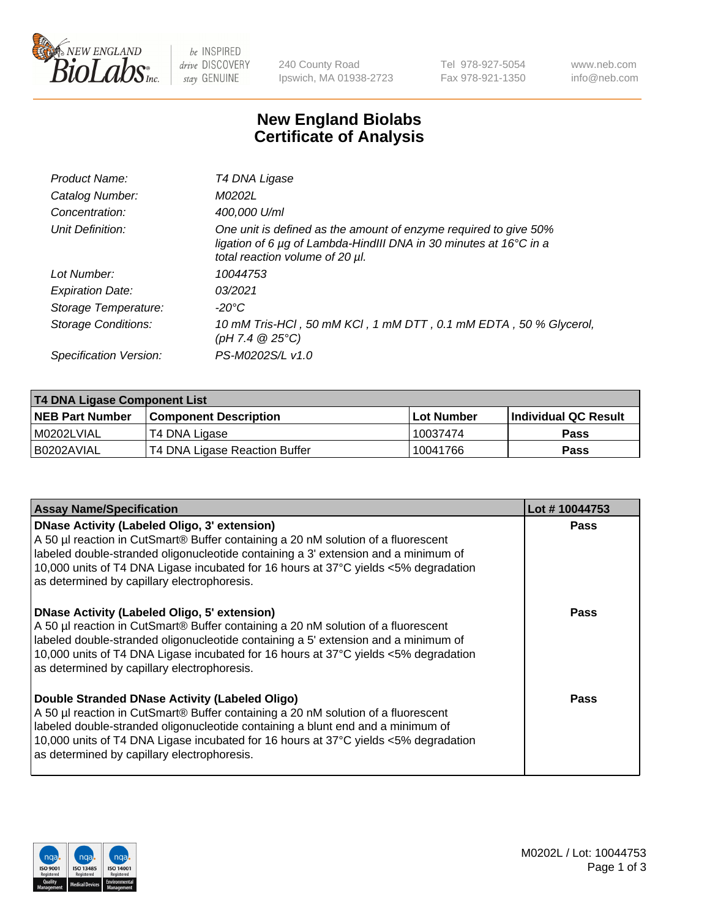

be INSPIRED drive DISCOVERY stay GENUINE

240 County Road Ipswich, MA 01938-2723 Tel 978-927-5054 Fax 978-921-1350 www.neb.com info@neb.com

## **New England Biolabs Certificate of Analysis**

| Product Name:              | T4 DNA Ligase                                                                                                                                                                           |
|----------------------------|-----------------------------------------------------------------------------------------------------------------------------------------------------------------------------------------|
| Catalog Number:            | M0202L                                                                                                                                                                                  |
| Concentration:             | 400,000 U/ml                                                                                                                                                                            |
| Unit Definition:           | One unit is defined as the amount of enzyme required to give 50%<br>ligation of 6 $\mu$ g of Lambda-HindIII DNA in 30 minutes at 16 $\degree$ C in a<br>total reaction volume of 20 µl. |
| Lot Number:                | 10044753                                                                                                                                                                                |
| <b>Expiration Date:</b>    | 03/2021                                                                                                                                                                                 |
| Storage Temperature:       | -20°C                                                                                                                                                                                   |
| <b>Storage Conditions:</b> | 10 mM Tris-HCl, 50 mM KCl, 1 mM DTT, 0.1 mM EDTA, 50 % Glycerol,<br>(pH 7.4 $@25°C$ )                                                                                                   |
| Specification Version:     | PS-M0202S/L v1.0                                                                                                                                                                        |

| <b>T4 DNA Ligase Component List</b> |                               |            |                             |  |  |
|-------------------------------------|-------------------------------|------------|-----------------------------|--|--|
| <b>NEB Part Number</b>              | <b>Component Description</b>  | Lot Number | <b>Individual QC Result</b> |  |  |
| I M0202LVIAL                        | T4 DNA Ligase                 | 10037474   | <b>Pass</b>                 |  |  |
| I B0202AVIAL                        | T4 DNA Ligase Reaction Buffer | 10041766   | <b>Pass</b>                 |  |  |

| <b>Assay Name/Specification</b>                                                                                                                                                                                                                                                                                                                                      | Lot #10044753 |
|----------------------------------------------------------------------------------------------------------------------------------------------------------------------------------------------------------------------------------------------------------------------------------------------------------------------------------------------------------------------|---------------|
| <b>DNase Activity (Labeled Oligo, 3' extension)</b><br>A 50 µl reaction in CutSmart® Buffer containing a 20 nM solution of a fluorescent<br>labeled double-stranded oligonucleotide containing a 3' extension and a minimum of<br>10,000 units of T4 DNA Ligase incubated for 16 hours at 37°C yields <5% degradation<br>as determined by capillary electrophoresis. | <b>Pass</b>   |
| DNase Activity (Labeled Oligo, 5' extension)<br>A 50 µl reaction in CutSmart® Buffer containing a 20 nM solution of a fluorescent<br>labeled double-stranded oligonucleotide containing a 5' extension and a minimum of<br>10,000 units of T4 DNA Ligase incubated for 16 hours at 37°C yields <5% degradation<br>as determined by capillary electrophoresis.        | <b>Pass</b>   |
| Double Stranded DNase Activity (Labeled Oligo)<br>A 50 µl reaction in CutSmart® Buffer containing a 20 nM solution of a fluorescent<br>labeled double-stranded oligonucleotide containing a blunt end and a minimum of<br>10,000 units of T4 DNA Ligase incubated for 16 hours at 37°C yields <5% degradation<br>as determined by capillary electrophoresis.         | Pass          |

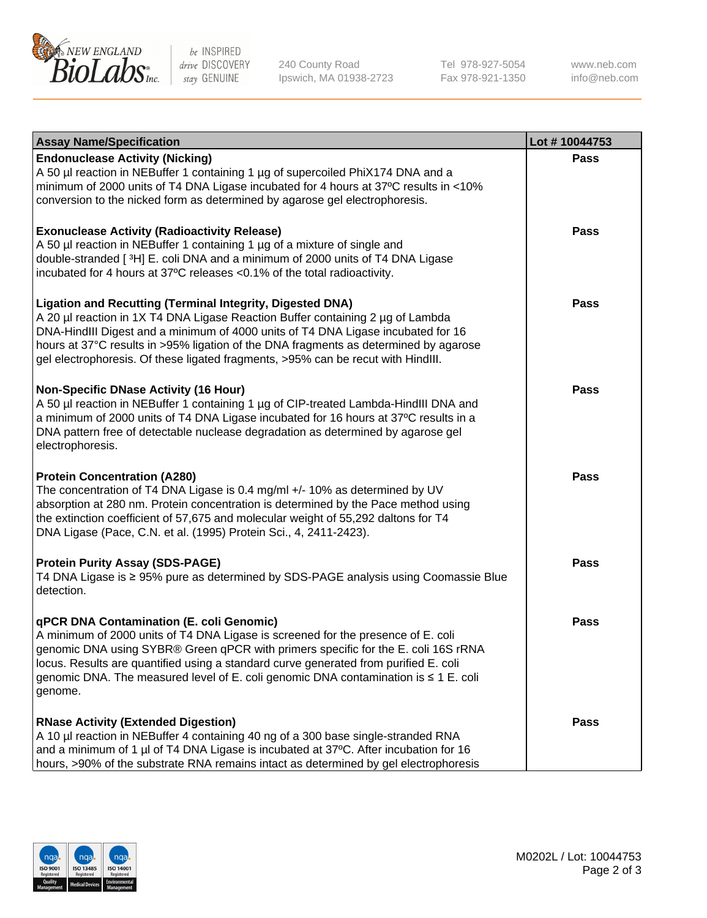

be INSPIRED drive DISCOVERY stay GENUINE

240 County Road Ipswich, MA 01938-2723 Tel 978-927-5054 Fax 978-921-1350

www.neb.com info@neb.com

| <b>Assay Name/Specification</b>                                                                                                                                                                                                                                                                                                                                                                                    | Lot #10044753 |
|--------------------------------------------------------------------------------------------------------------------------------------------------------------------------------------------------------------------------------------------------------------------------------------------------------------------------------------------------------------------------------------------------------------------|---------------|
| <b>Endonuclease Activity (Nicking)</b><br>A 50 µl reaction in NEBuffer 1 containing 1 µg of supercoiled PhiX174 DNA and a<br>minimum of 2000 units of T4 DNA Ligase incubated for 4 hours at 37°C results in <10%<br>conversion to the nicked form as determined by agarose gel electrophoresis.                                                                                                                   | <b>Pass</b>   |
| <b>Exonuclease Activity (Radioactivity Release)</b><br>A 50 µl reaction in NEBuffer 1 containing 1 µg of a mixture of single and<br>double-stranded [3H] E. coli DNA and a minimum of 2000 units of T4 DNA Ligase<br>incubated for 4 hours at 37°C releases <0.1% of the total radioactivity.                                                                                                                      | <b>Pass</b>   |
| <b>Ligation and Recutting (Terminal Integrity, Digested DNA)</b><br>A 20 µl reaction in 1X T4 DNA Ligase Reaction Buffer containing 2 µg of Lambda<br>DNA-HindIII Digest and a minimum of 4000 units of T4 DNA Ligase incubated for 16<br>hours at 37°C results in >95% ligation of the DNA fragments as determined by agarose<br>gel electrophoresis. Of these ligated fragments, >95% can be recut with HindIII. | <b>Pass</b>   |
| <b>Non-Specific DNase Activity (16 Hour)</b><br>A 50 µl reaction in NEBuffer 1 containing 1 µg of CIP-treated Lambda-HindIII DNA and<br>a minimum of 2000 units of T4 DNA Ligase incubated for 16 hours at 37°C results in a<br>DNA pattern free of detectable nuclease degradation as determined by agarose gel<br>electrophoresis.                                                                               | <b>Pass</b>   |
| <b>Protein Concentration (A280)</b><br>The concentration of T4 DNA Ligase is 0.4 mg/ml +/- 10% as determined by UV<br>absorption at 280 nm. Protein concentration is determined by the Pace method using<br>the extinction coefficient of 57,675 and molecular weight of 55,292 daltons for T4<br>DNA Ligase (Pace, C.N. et al. (1995) Protein Sci., 4, 2411-2423).                                                | <b>Pass</b>   |
| <b>Protein Purity Assay (SDS-PAGE)</b><br>T4 DNA Ligase is ≥ 95% pure as determined by SDS-PAGE analysis using Coomassie Blue<br>detection.                                                                                                                                                                                                                                                                        | <b>Pass</b>   |
| qPCR DNA Contamination (E. coli Genomic)<br>A minimum of 2000 units of T4 DNA Ligase is screened for the presence of E. coli<br>genomic DNA using SYBR® Green qPCR with primers specific for the E. coli 16S rRNA<br>locus. Results are quantified using a standard curve generated from purified E. coli<br>genomic DNA. The measured level of E. coli genomic DNA contamination is ≤ 1 E. coli<br>genome.        | Pass          |
| <b>RNase Activity (Extended Digestion)</b><br>A 10 µl reaction in NEBuffer 4 containing 40 ng of a 300 base single-stranded RNA<br>and a minimum of 1 µl of T4 DNA Ligase is incubated at 37°C. After incubation for 16<br>hours, >90% of the substrate RNA remains intact as determined by gel electrophoresis                                                                                                    | <b>Pass</b>   |